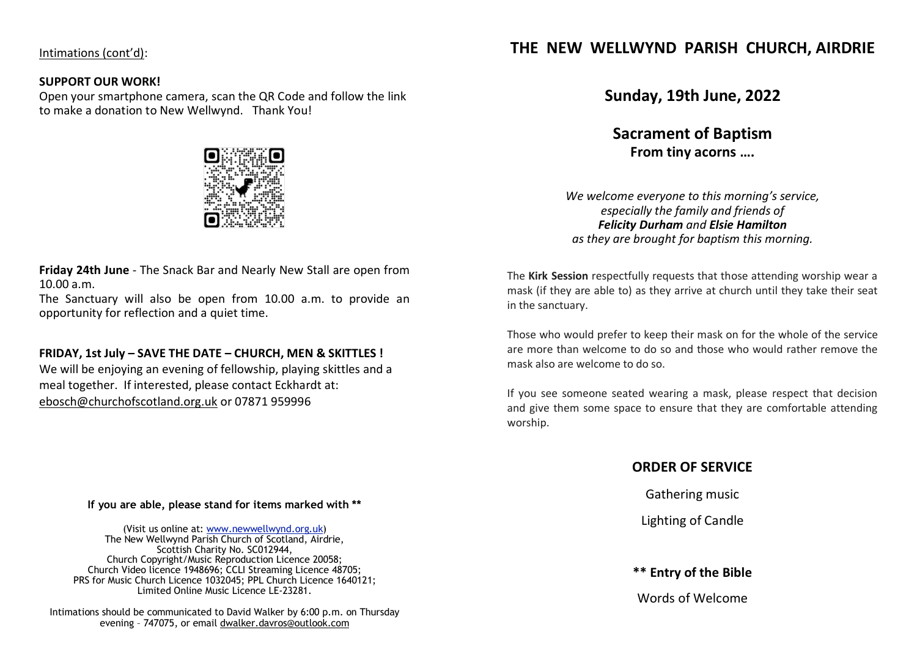Intimations (cont'd):

### **SUPPORT OUR WORK!**

Open your smartphone camera, scan the QR Code and follow the link to make a donation to New Wellwynd. Thank You!



**Friday 24th June** - The Snack Bar and Nearly New Stall are open from 10.00 a.m.

The Sanctuary will also be open from 10.00 a.m. to provide an opportunity for reflection and a quiet time.

## **FRIDAY, 1st July – SAVE THE DATE – CHURCH, MEN & SKITTLES !**

We will be enjoying an evening of fellowship, playing skittles and a meal together. If interested, please contact Eckhardt at: [ebosch@churchofscotland.org.uk](mailto:ebosch@churchofscotland.org.uk) or 07871 959996

#### **If you are able, please stand for items marked with \*\***

(Visit us online at: [www.newwellwynd.org.uk\)](http://www.newwellwynd.org.uk/) The New Wellwynd Parish Church of Scotland, Airdrie, Scottish Charity No. SC012944, Church Copyright/Music Reproduction Licence 20058; Church Video licence 1948696; CCLI Streaming Licence 48705; PRS for Music Church Licence 1032045; PPL Church Licence 1640121; Limited Online Music Licence LE-23281.

Intimations should be communicated to David Walker by 6:00 p.m. on Thursday evening – 747075, or email [dwalker.davros@outlook.com](mailto:dwalker.davros@outlook.comt)

# **THE NEW WELLWYND PARISH CHURCH, AIRDRIE**

**Sunday, 19th June, 2022**

**Sacrament of Baptism From tiny acorns ….**

*We welcome everyone to this morning's service, especially the family and friends of Felicity Durham and Elsie Hamilton as they are brought for baptism this morning.*

The **Kirk Session** respectfully requests that those attending worship wear a mask (if they are able to) as they arrive at church until they take their seat in the sanctuary.

Those who would prefer to keep their mask on for the whole of the service are more than welcome to do so and those who would rather remove the mask also are welcome to do so.

If you see someone seated wearing a mask, please respect that decision and give them some space to ensure that they are comfortable attending worship.

# **ORDER OF SERVICE**

Gathering music

Lighting of Candle

**\*\* Entry of the Bible**

Words of Welcome